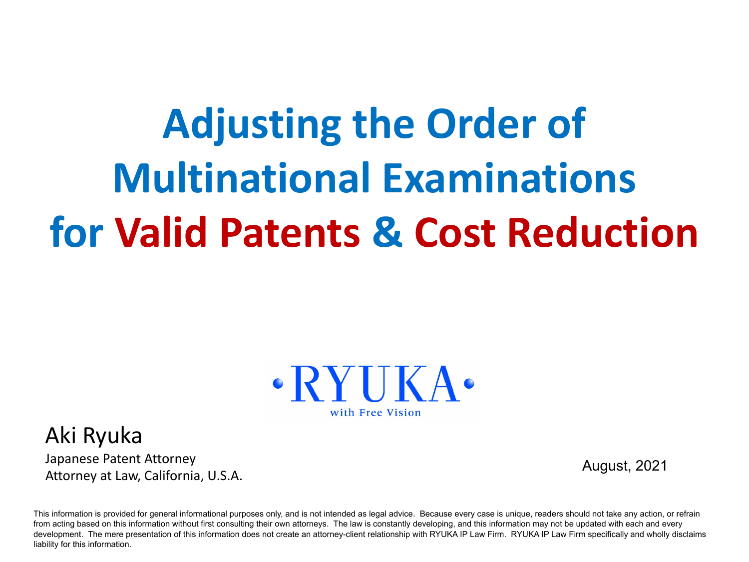# **Adjusting the Order of Multinational Examinations for Valid Patents & Cost Reduction**



Aki Ryuka Japanese Patent Attorney Attorney at Law, California, U.S.A.

August, 2021

This information is provided for general informational purposes only, and is not intended as legal advice. Because every case is unique, readers should not take any action, or refrain from acting based on this information without first consulting their own attorneys. The law is constantly developing, and this information may not be updated with each and every development. The mere presentation of this information does not create an attorney-client relationship with RYUKA IP Law Firm. RYUKA IP Law Firm specifically and wholly disclaims liability for this information.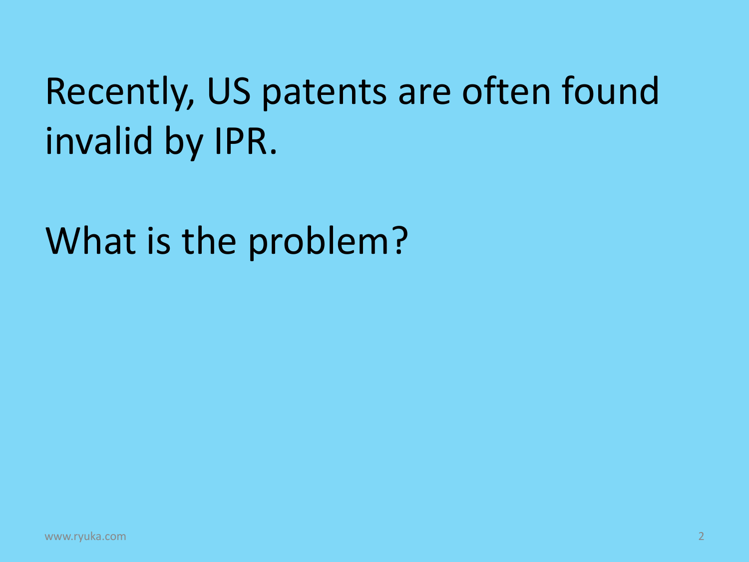## Recently, US patents are often found invalid by IPR.

What is the problem?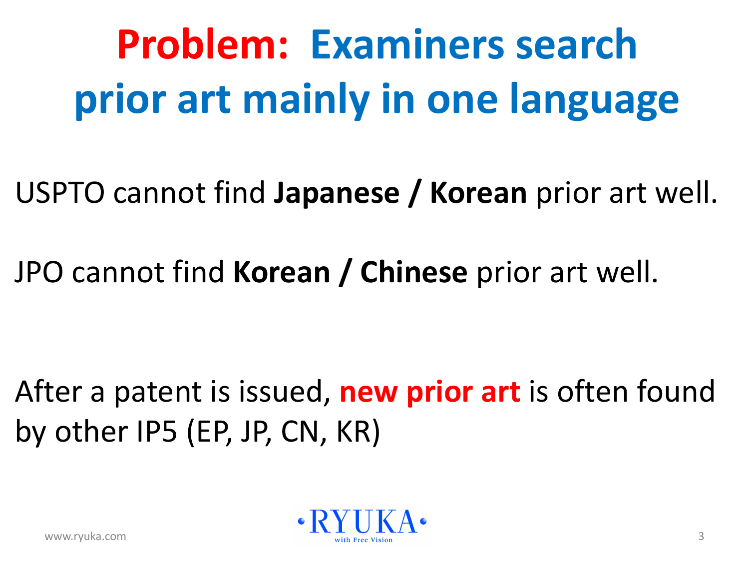# **Problem: Examiners search prior art mainly in one language**

USPTO cannot find **Japanese / Korean** prior art well.

JPO cannot find **Korean / Chinese** prior art well.

After a patent is issued, **new prior art** is often found by other IP5 (EP, JP, CN, KR)

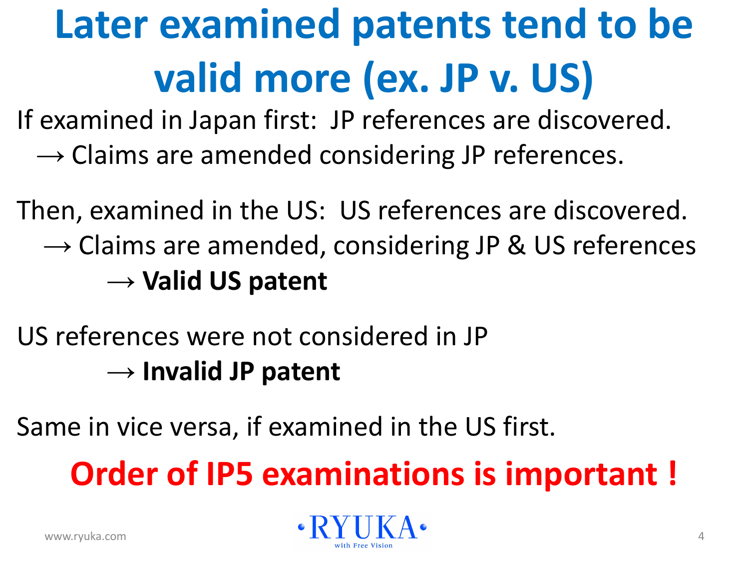# **Later examined patents tend to be valid more (ex. JP v. US)**

If examined in Japan first: JP references are discovered.

 $\rightarrow$  Claims are amended considering JP references.

Then, examined in the US: US references are discovered.  $\rightarrow$  Claims are amended, considering JP & US references → **Valid US patent**

US references were not considered in JP → **Invalid JP patent**

Same in vice versa, if examined in the US first.

**Order of IP5 examinations is important !**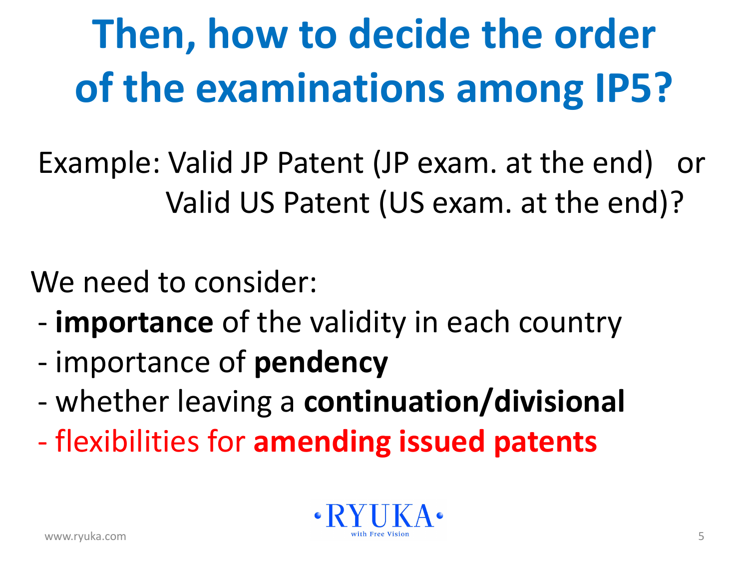# **Then, how to decide the order of the examinations among IP5?**

 Example: Valid JP Patent (JP exam. at the end) or Valid US Patent (US exam. at the end)?

We need to consider:

- **importance** of the validity in each country
- importance of **pendency**
- whether leaving a **continuation/divisional**
- flexibilities for **amending issued patents**

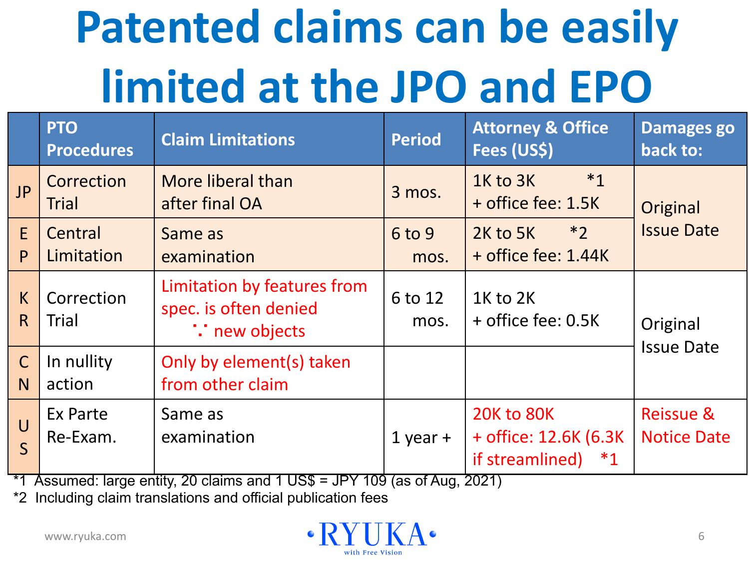# **Patented claims can be easily limited at the JPO and EPO**

|                                | <b>PTO</b><br><b>Procedures</b> | <b>Claim Limitations</b>                                                     | <b>Period</b>   | <b>Attorney &amp; Office</b><br>Fees (US\$)                               | <b>Damages go</b><br>back to:              |
|--------------------------------|---------------------------------|------------------------------------------------------------------------------|-----------------|---------------------------------------------------------------------------|--------------------------------------------|
| JP                             | Correction<br><b>Trial</b>      | More liberal than<br>after final OA                                          | 3 mos.          | $*_{1}$<br>1K to 3K<br>+ office fee: 1.5K                                 | Original                                   |
| E<br>P                         | Central<br>Limitation           | Same as<br>examination                                                       | 6 to 9<br>mos.  | $*2$<br>2K to 5K<br>+ office fee: 1.44K                                   | <b>Issue Date</b>                          |
| K<br>R                         | Correction<br>Trial             | Limitation by features from<br>spec. is often denied<br><b>:</b> new objects | 6 to 12<br>mos. | 1K to 2K<br>+ office fee: 0.5K                                            | Original<br><b>Issue Date</b>              |
| $\mathsf{C}$<br>N <sub>1</sub> | In nullity<br>action            | Only by element(s) taken<br>from other claim                                 |                 |                                                                           |                                            |
| $\bigcup$<br>$\mathsf{S}$      | Ex Parte<br>Re-Exam.            | Same as<br>examination                                                       | $1$ year +      | <b>20K to 80K</b><br>+ office: 12.6K (6.3K)<br>if streamlined)<br>$*_{1}$ | <b>Reissue &amp;</b><br><b>Notice Date</b> |

 $*1$  Assumed: large entity, 20 claims and 1 US\$ = JPY 109 (as of Aug, 2021)

\*2 Including claim translations and official publication fees

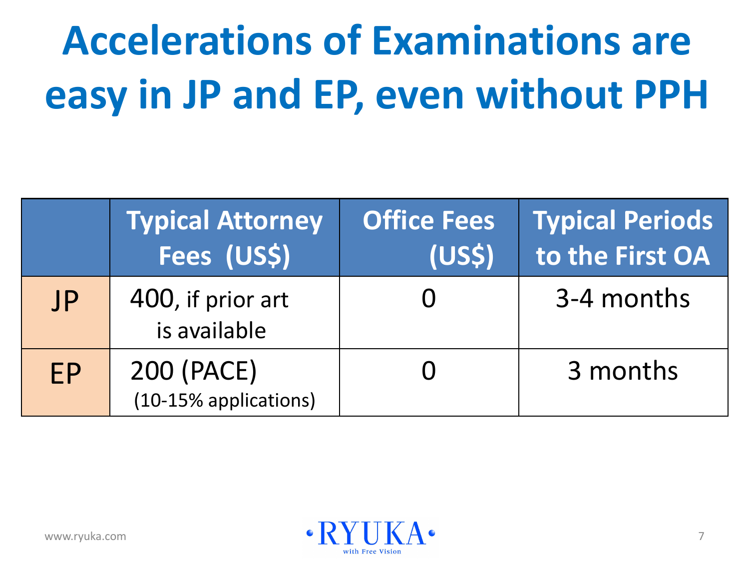# **Accelerations of Examinations are easy in JP and EP, even without PPH**

|           | <b>Typical Attorney</b><br>Fees (US\$) | <b>Office Fees</b><br>(US <sub>5</sub> ) | Typical Periods<br>to the First OA |
|-----------|----------------------------------------|------------------------------------------|------------------------------------|
| JP        | 400, if prior art<br>is available      |                                          | 3-4 months                         |
| <b>FP</b> | 200 (PACE)<br>(10-15% applications)    |                                          | 3 months                           |

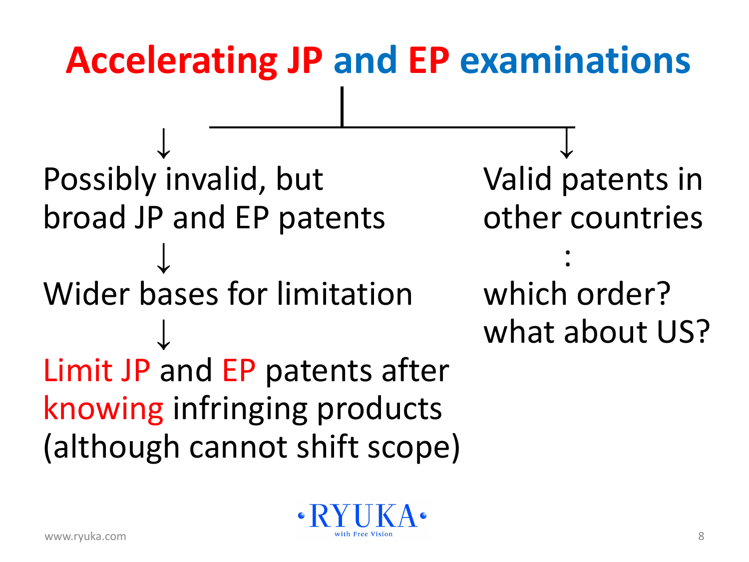## **Accelerating JP and EP examinations**

↓ Possibly invalid, but broad JP and EP patents ↓ Wider bases for limitation ↓ Limit JP and EP patents after knowing infringing products (although cannot shift scope)

↓ Valid patents in other countries

:

which order? what about US?

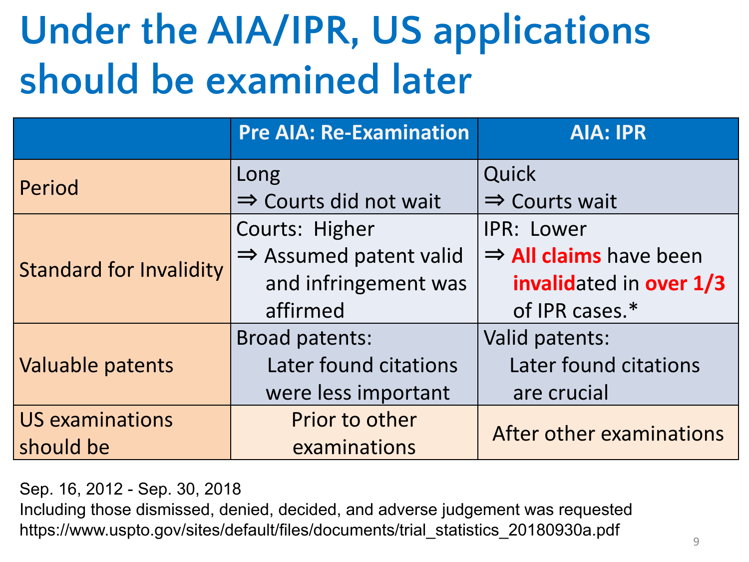## **Under the AIA/IPR, US applications should be examined later**

|                                | <b>Pre AIA: Re-Examination</b>     | <b>AIA: IPR</b>                    |  |
|--------------------------------|------------------------------------|------------------------------------|--|
| Period                         | Long                               | Quick                              |  |
|                                | $\Rightarrow$ Courts did not wait  | $\Rightarrow$ Courts wait          |  |
|                                | Courts: Higher                     | <b>IPR: Lower</b>                  |  |
| <b>Standard for Invalidity</b> | $\Rightarrow$ Assumed patent valid | $\Rightarrow$ All claims have been |  |
|                                | and infringement was               | invalidated in over 1/3            |  |
|                                | affirmed                           | of IPR cases.*                     |  |
|                                | <b>Broad patents:</b>              | Valid patents:                     |  |
| Valuable patents               | Later found citations              | Later found citations              |  |
|                                | were less important                | are crucial                        |  |
| <b>US examinations</b>         | Prior to other                     |                                    |  |
| should be                      | examinations                       | After other examinations           |  |

Sep. 16, 2012 - Sep. 30, 2018

Including those dismissed, denied, decided, and adverse judgement was requested https://www.uspto.gov/sites/default/files/documents/trial\_statistics\_20180930a.pdf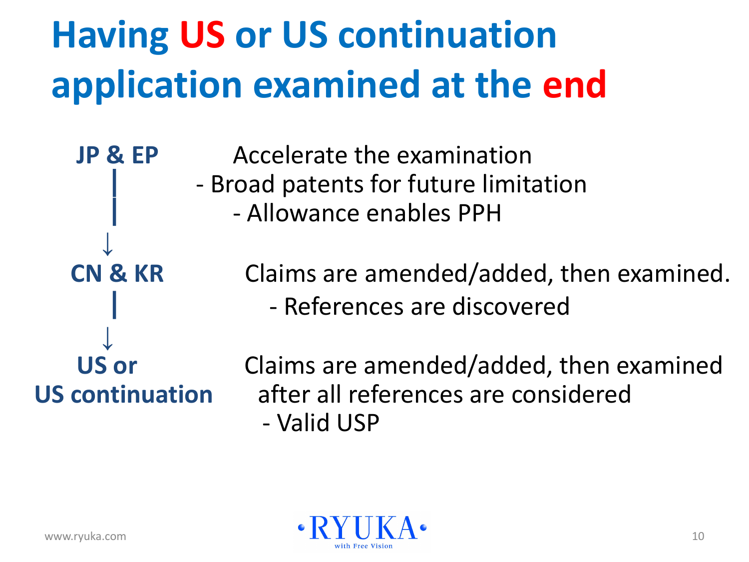## **Having US or US continuation application examined at the end**

 **JP & EP** Accelerate the examination - Broad patents for future limitation | - Allowance enables PPH

 **CN & KR** Claims are amended/added, then examined. | - References are discovered

**↓**

 **US or** Claims are amended/added, then examined **US continuation** after all references are considered - Valid USP



**↓**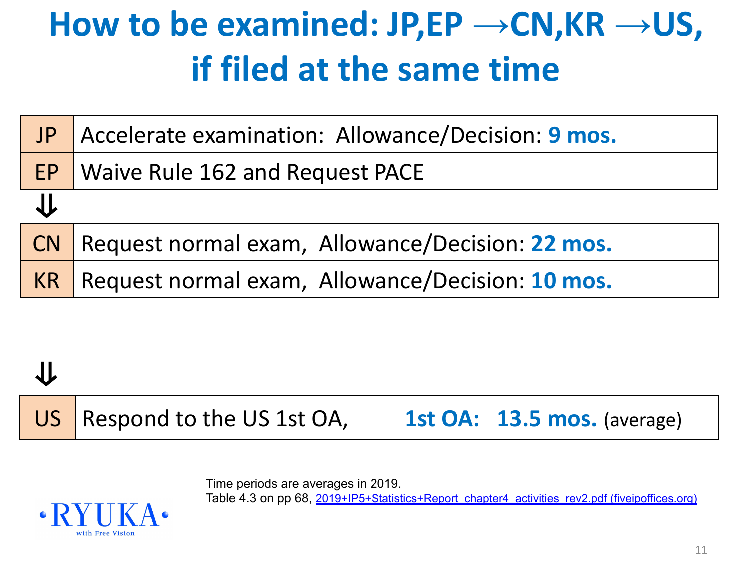#### **How to be examined: JP,EP →CN,KR →US, if filed at the same time**

| JP | Accelerate examination: Allowance/Decision: 9 mos. |
|----|----------------------------------------------------|
|    | <b>EP</b>   Waive Rule 162 and Request PACE        |
| J. |                                                    |
| CN | Request normal exam, Allowance/Decision: 22 mos.   |
| KR | Request normal exam, Allowance/Decision: 10 mos.   |

#### ⇓

US | Respond to the US 1st OA, **1st OA: 13.5 mos.** (average)

Time periods are averages in 2019.

Table 4.3 on pp 68, [2019+IP5+Statistics+Report\\_chapter4\\_activities\\_rev2.pdf \(fiveipoffices.org\)](https://www.fiveipoffices.org/wcm/connect/fiveipoffices/844f5362-8589-46f6-a538-3a4ba1bd2f88/2019+IP5+Statistics+Report_chapter4_activities_rev2.pdf?MOD=AJPERES&CVID=)

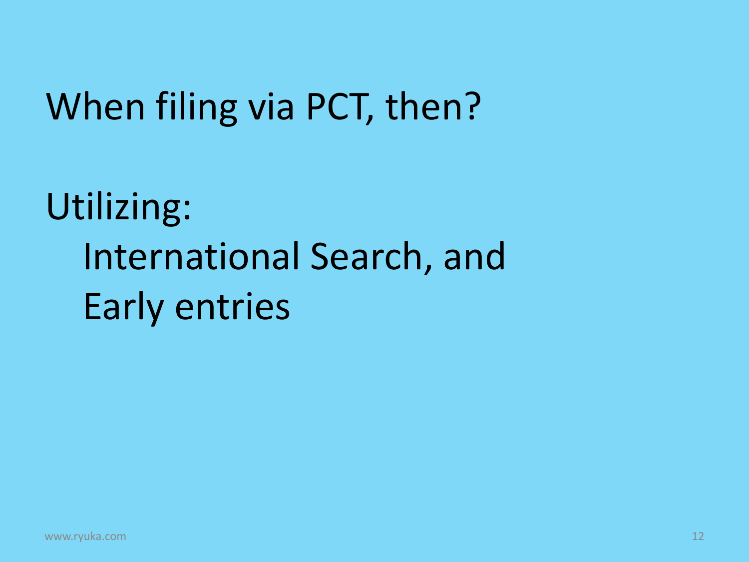#### When filing via PCT, then?

## Utilizing: International Search, and Early entries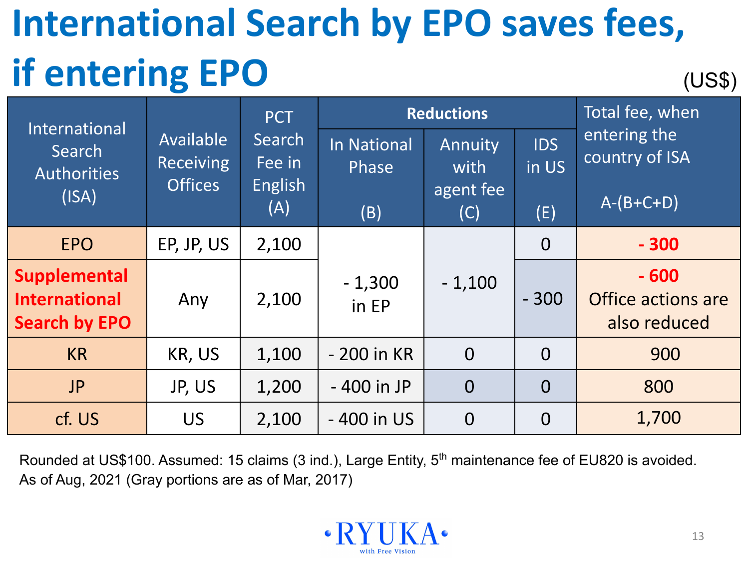#### **International Search by EPO saves fees, if entering EPO** (US\$)

| International                                                       |                                                 | <b>PCT</b>                                | <b>Reductions</b>           |                  |                     | Total fee, when                              |
|---------------------------------------------------------------------|-------------------------------------------------|-------------------------------------------|-----------------------------|------------------|---------------------|----------------------------------------------|
| Search<br><b>Authorities</b>                                        | Available<br><b>Receiving</b><br><b>Offices</b> | Search<br>Fee in<br><b>English</b><br>(A) | <b>In National</b><br>Phase | Annuity<br>with  | <b>IDS</b><br>in US | entering the<br>country of ISA               |
| (ISA)                                                               |                                                 |                                           | (B)                         | agent fee<br>(C) | (E)                 | $\overline{A-(B+C+D)}$                       |
| <b>EPO</b>                                                          | EP, JP, US                                      | 2,100                                     |                             |                  | $\overline{0}$      | $-300$                                       |
| <b>Supplemental</b><br><b>International</b><br><b>Search by EPO</b> | Any                                             | 2,100                                     | $-1,300$<br>in EP           | $-1,100$         | $-300$              | $-600$<br>Office actions are<br>also reduced |
| <b>KR</b>                                                           | KR, US                                          | 1,100                                     | - 200 in KR                 | $\overline{0}$   | $\Omega$            | 900                                          |
| <b>JP</b>                                                           | JP, US                                          | 1,200                                     | - 400 in JP                 | $\overline{0}$   | $\overline{0}$      | 800                                          |
| cf. US                                                              | <b>US</b>                                       | 2,100                                     | - 400 in US                 | $\overline{0}$   | $\Omega$            | 1,700                                        |

Rounded at US\$100. Assumed: 15 claims (3 ind.), Large Entity, 5<sup>th</sup> maintenance fee of EU820 is avoided. As of Aug, 2021 (Gray portions are as of Mar, 2017)

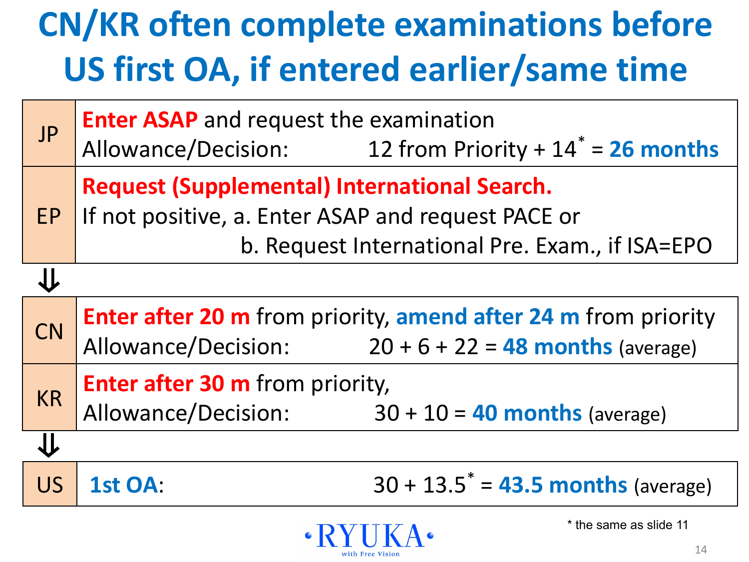#### **CN/KR often complete examinations before US first OA, if entered earlier/same time**

| <b>JP</b> | <b>Enter ASAP</b> and request the examination<br>Allowance/Decision: $12$ from Priority + $14^* = 26$ months                                                 |  |  |  |  |  |
|-----------|--------------------------------------------------------------------------------------------------------------------------------------------------------------|--|--|--|--|--|
| EP        | <b>Request (Supplemental) International Search.</b><br>If not positive, a. Enter ASAP and request PACE or<br>b. Request International Pre. Exam., if ISA=EPO |  |  |  |  |  |
|           |                                                                                                                                                              |  |  |  |  |  |
| <b>CN</b> | <b>Enter after 20 m</b> from priority, amend after 24 m from priority<br>Allowance/Decision: $20 + 6 + 22 = 48$ months (average)                             |  |  |  |  |  |
| <b>KR</b> | <b>Enter after 30 m</b> from priority,<br>Allowance/Decision:<br>$30 + 10 = 40$ months (average)                                                             |  |  |  |  |  |
|           |                                                                                                                                                              |  |  |  |  |  |
| <b>US</b> | $30 + 13.5^* = 43.5$ months (average)<br>1st OA:                                                                                                             |  |  |  |  |  |

with Free Vision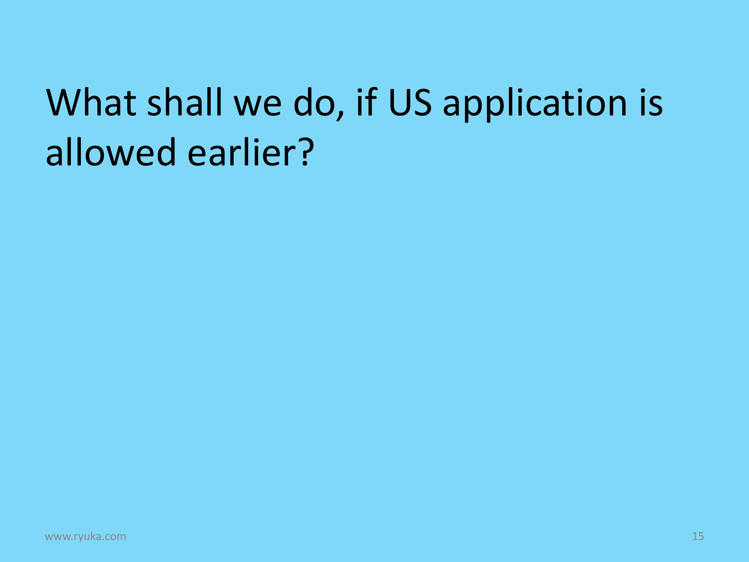## What shall we do, if US application is allowed earlier?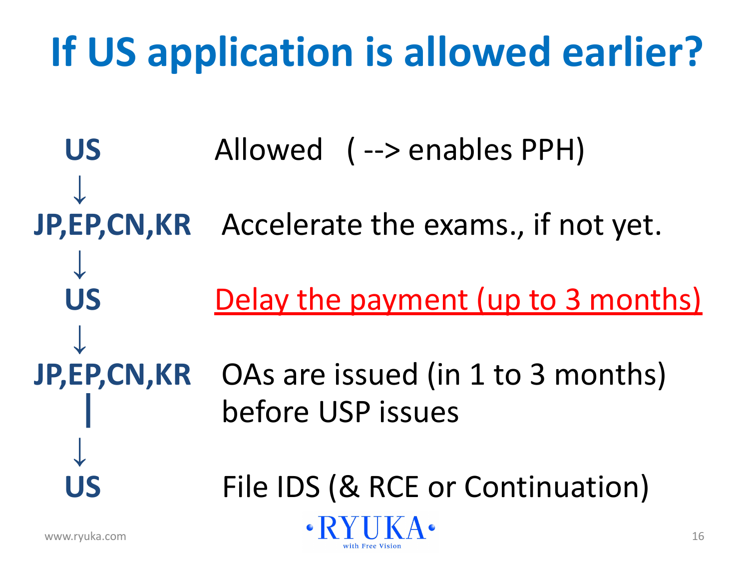## **If US application is allowed earlier?**

US Allowed (--> enables PPH)  **↓ JP,EP,CN,KR** Accelerate the exams., if not yet.  **↓**  US Delay the payment (up to 3 months) **↓ JP,EP,CN,KR** OAs are issued (in 1 to 3 months) | before USP issues  **↓** File IDS (& RCE or Continuation)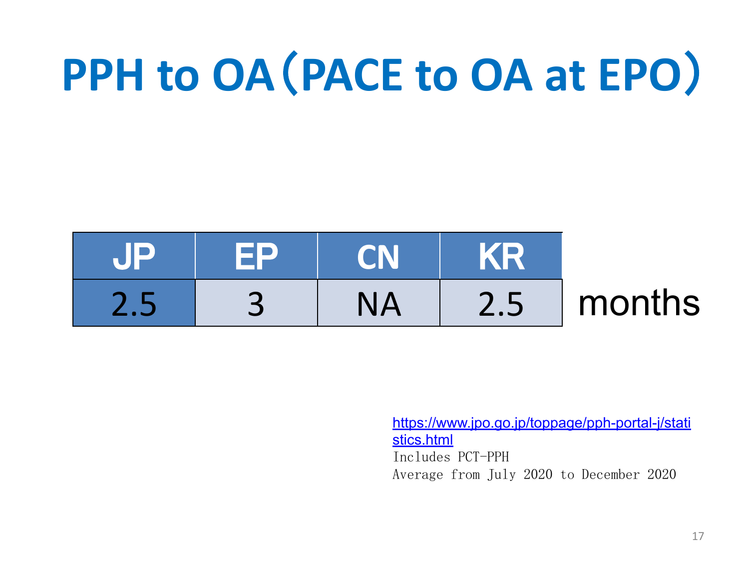# **PPH to OA**(**PACE to OA at EPO**)

| <b>NHP</b> | <b>FP</b> | <b>CN</b> | <b>AKR</b> |        |
|------------|-----------|-----------|------------|--------|
|            |           |           | 2.5        | months |

[https://www.jpo.go.jp/toppage/pph-portal-j/stati](https://www.jpo.go.jp/toppage/pph-portal-j/statistics.html) [stics.html](https://www.jpo.go.jp/toppage/pph-portal-j/statistics.html) Includes PCT-PPH Average from July 2020 to December 2020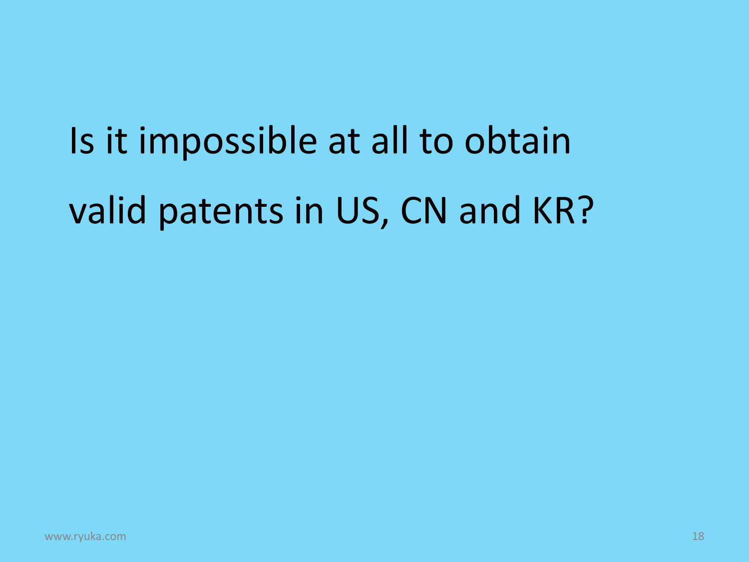# Is it impossible at all to obtain valid patents in US, CN and KR?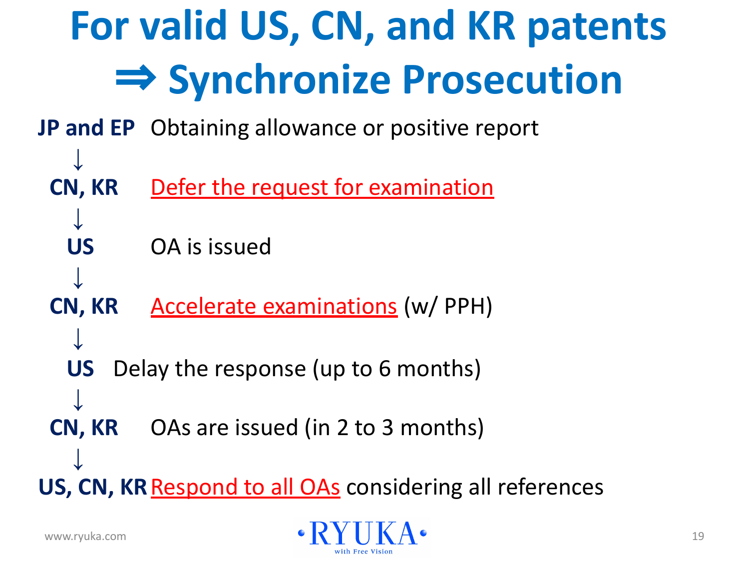

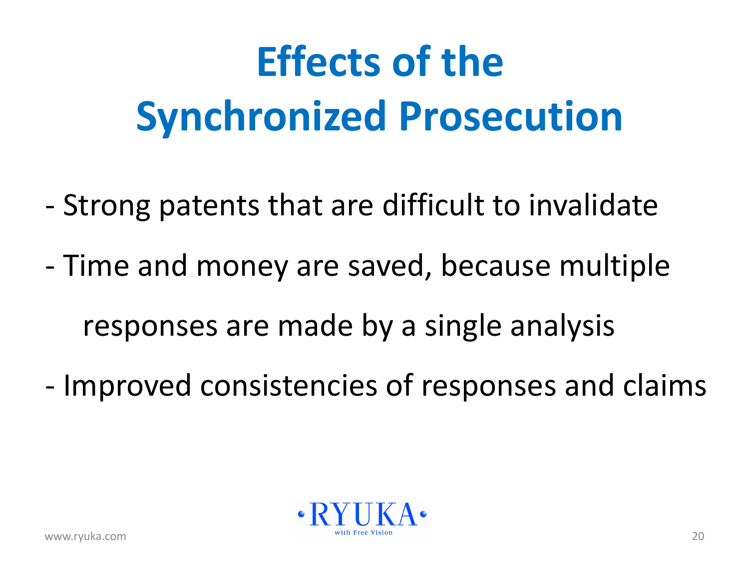# **Effects of the Synchronized Prosecution**

- Strong patents that are difficult to invalidate
- Time and money are saved, because multiple responses are made by a single analysis
- 
- Improved consistencies of responses and claims

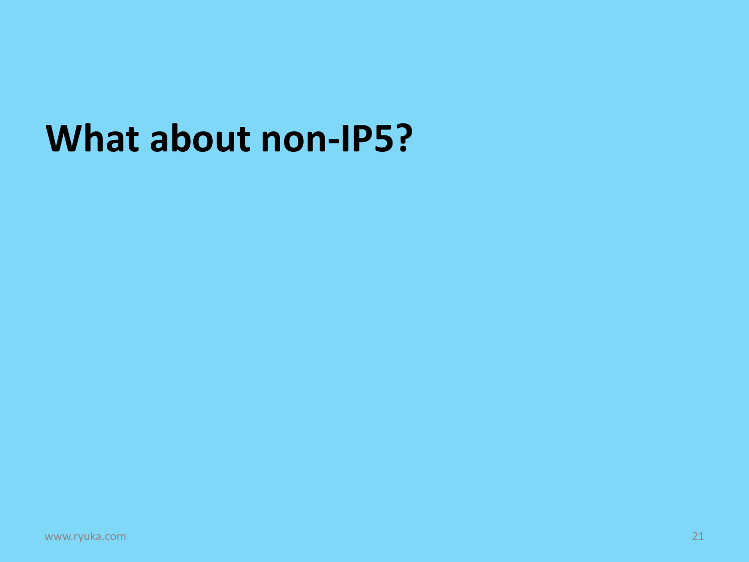#### **What about non-IP5?**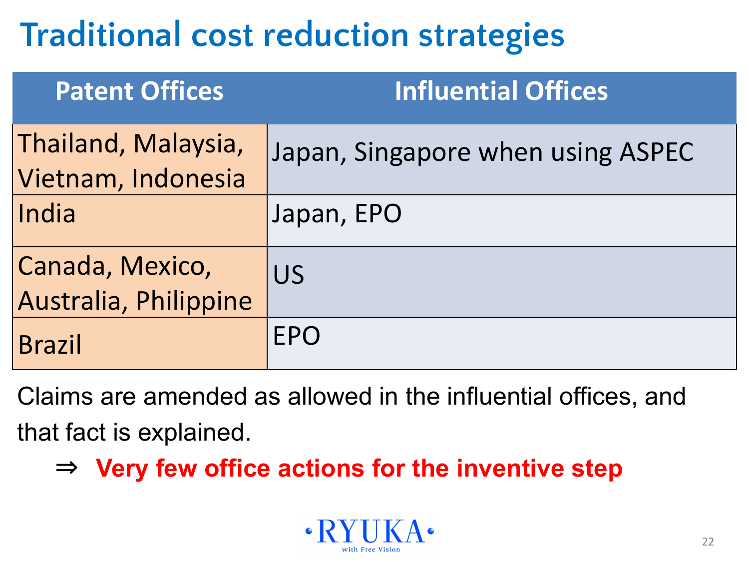### **Traditional cost reduction strategies**

| <b>Patent Offices</b>                     | <b>Influential Offices</b>        |
|-------------------------------------------|-----------------------------------|
| Thailand, Malaysia,<br>Vietnam, Indonesia | Japan, Singapore when using ASPEC |
| India                                     | Japan, EPO                        |
| Canada, Mexico,<br>Australia, Philippine  | <b>US</b>                         |
| <b>Brazil</b>                             | <b>EPO</b>                        |

Claims are amended as allowed in the influential offices, and that fact is explained.

⇒ **Very few office actions for the inventive step**

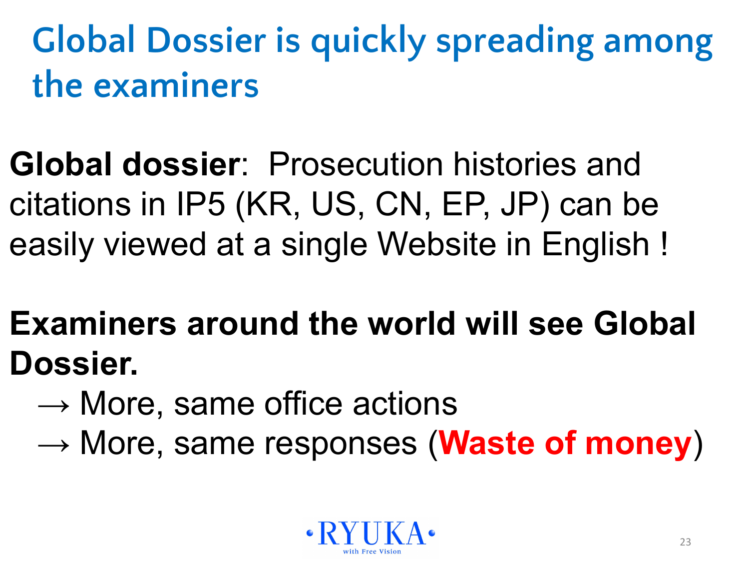**Global Dossier is quickly spreading among the examiners**

**Global dossier**: Prosecution histories and citations in IP5 (KR, US, CN, EP, JP) can be easily viewed at a single Website in English !

**Examiners around the world will see Global Dossier.**

- $\rightarrow$  More, same office actions
- → More, same responses (**Waste of money**)

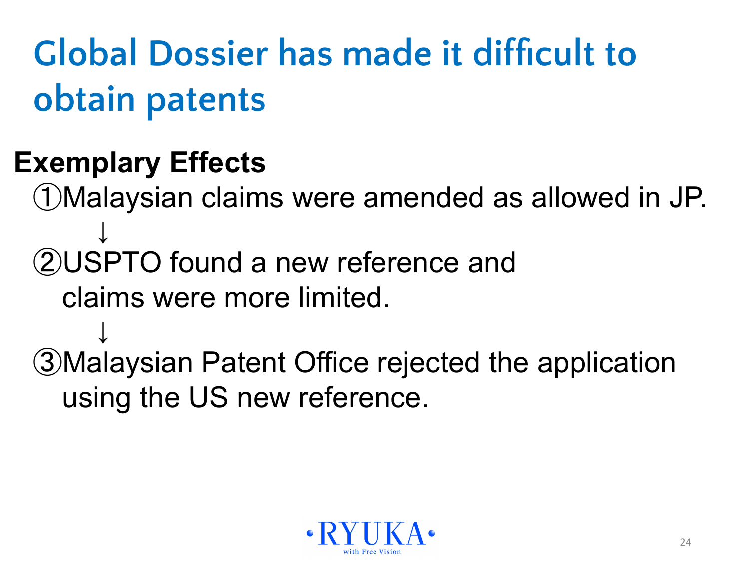**Global Dossier has made it difficult to obtain patents**

#### **Exemplary Effects**

 ①Malaysian claims were amended as allowed in JP. ↓ ②USPTO found a new reference and claims were more limited. ↓ ③Malaysian Patent Office rejected the application using the US new reference.

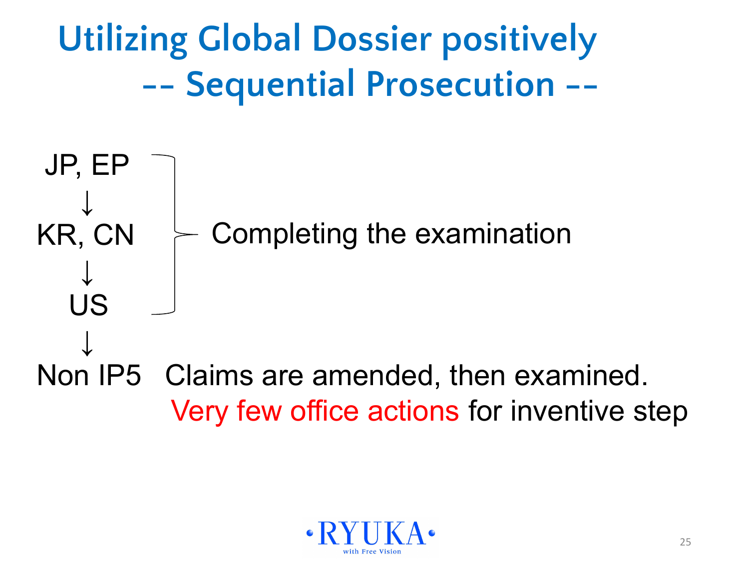JP, EP ↓ KR, CN ↓ US ↓ Non IP5 Claims are amended, then examined. Very few office actions for inventive step **Utilizing Global Dossier positively -- Sequential Prosecution --** Completing the examination

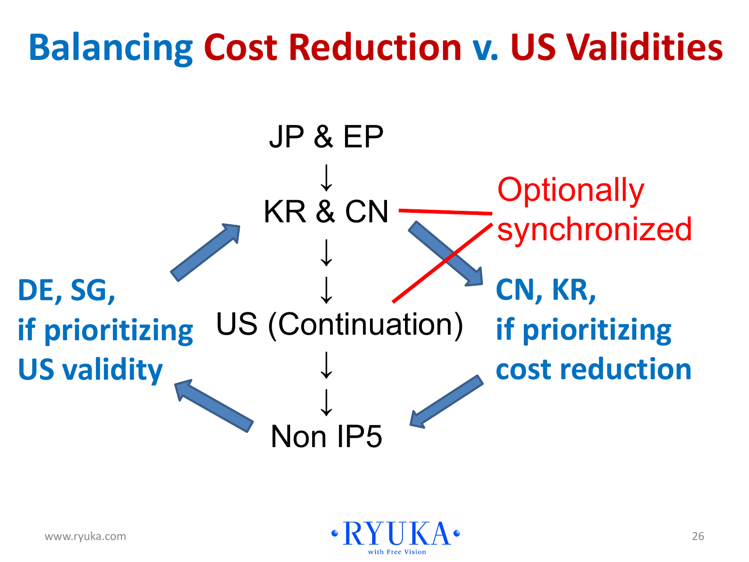### **Balancing Cost Reduction v. US Validities**



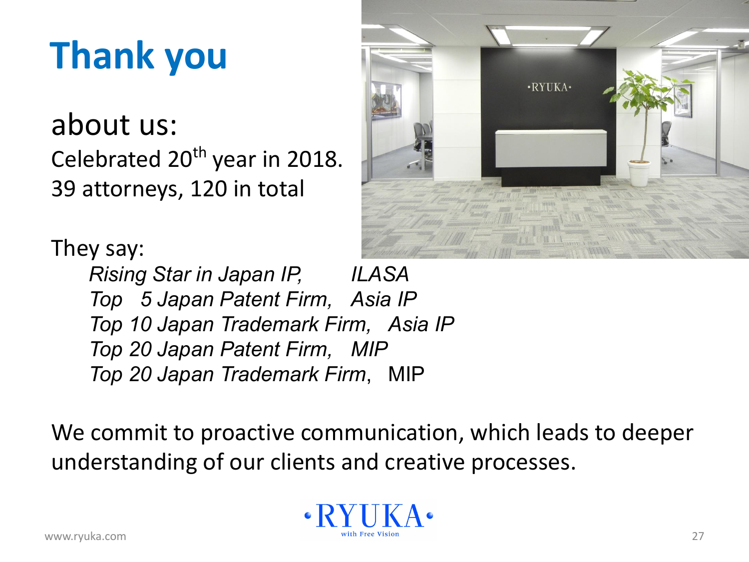## **Thank you**

about us: Celebrated 20<sup>th</sup> year in 2018. 39 attorneys, 120 in total

They say: *Rising Star in Japan IP, ILASA Top 5 Japan Patent Firm, Asia IP Top 10 Japan Trademark Firm, Asia IP Top 20 Japan Patent Firm, MIP Top 20 Japan Trademark Firm*, MIP

We commit to proactive communication, which leads to deeper understanding of our clients and creative processes.



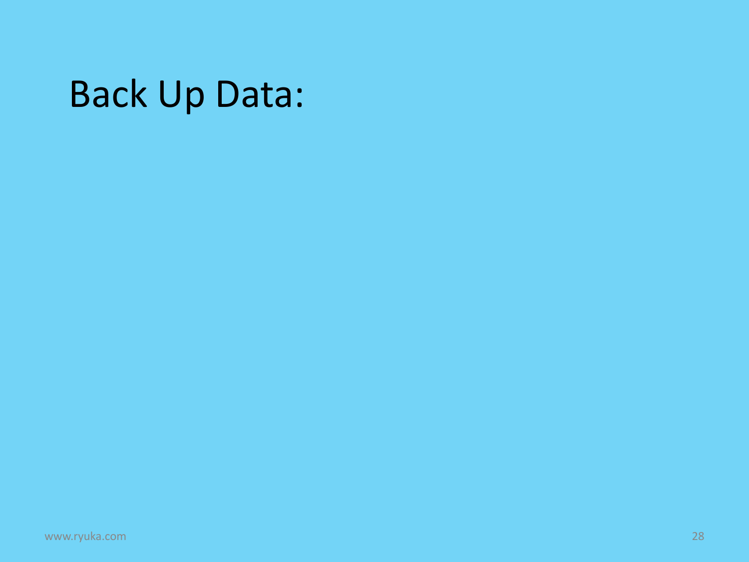#### Back Up Data: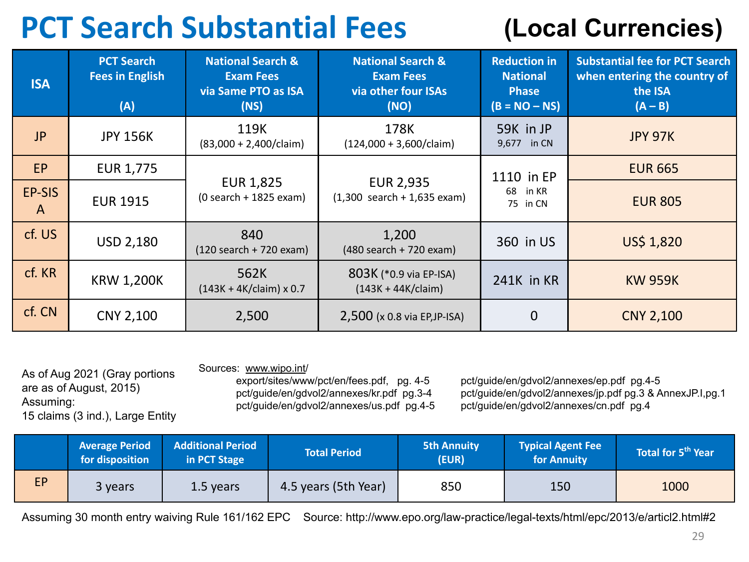#### **PCT Search Substantial Fees**

#### **(Local Currencies)**

| <b>ISA</b>             | <b>PCT Search</b><br><b>Fees in English</b><br>(A) | <b>National Search &amp;</b><br><b>Exam Fees</b><br>via Same PTO as ISA<br>(NS) | <b>National Search &amp;</b><br><b>Exam Fees</b><br>via other four ISAs<br>(NO) | <b>Reduction in</b><br><b>National</b><br><b>Phase</b><br>$(B = NO - NS)$ | <b>Substantial fee for PCT Search</b><br>when entering the country of<br>the ISA<br>$(A - B)$ |
|------------------------|----------------------------------------------------|---------------------------------------------------------------------------------|---------------------------------------------------------------------------------|---------------------------------------------------------------------------|-----------------------------------------------------------------------------------------------|
| <b>JP</b>              | <b>JPY 156K</b>                                    | 119K<br>$(83,000 + 2,400/claim)$                                                | 178K<br>$(124,000 + 3,600/claim)$                                               | 59K in JP<br>9,677 in CN                                                  | <b>JPY 97K</b>                                                                                |
| EP                     | EUR 1,775                                          |                                                                                 |                                                                                 | 1110 in EP<br>68<br>in KR<br>75 in CN                                     | <b>EUR 665</b>                                                                                |
| EP-SIS<br>$\mathsf{A}$ | <b>EUR 1915</b>                                    | <b>EUR 1,825</b><br>$(0 search + 1825 exam)$                                    | <b>EUR 2,935</b><br>$(1,300$ search + 1,635 exam)                               |                                                                           | <b>EUR 805</b>                                                                                |
| cf. US                 | <b>USD 2,180</b>                                   | 840<br>$(120$ search + 720 exam)                                                | 1,200<br>(480 search + 720 exam)                                                | 360 in US                                                                 | US\$ 1,820                                                                                    |
| cf. KR                 | <b>KRW 1,200K</b>                                  | 562K<br>$(143K + 4K/claim) \times 0.7$                                          | 803K (*0.9 via EP-ISA)<br>$(143K + 44K/claim)$                                  | 241K in KR                                                                | <b>KW 959K</b>                                                                                |
| cf. CN                 | CNY 2,100                                          | 2,500                                                                           | $2,500$ (x 0.8 via EP, JP-ISA)                                                  | $\Omega$                                                                  | <b>CNY 2,100</b>                                                                              |

As of Aug 2021 (Gray portions

15 claims (3 ind.), Large Entity

are as of August, 2015)

Assuming:

Sources: [www.wipo.int/](http://www.wipo.int/)<br>export/sites/www/pct/en/fees.pdf, pg. 4-5 pct/guide/en/gdvol2/annexes/us.pdf pg.4-5

export/sites/www/pct/en/fees.pdf, pg. 4-5 pct/guide/en/gdvol2/annexes/ep.pdf pg.4-5<br>pct/guide/en/gdvol2/annexes/kr.pdf pg.3-4 pct/guide/en/gdvol2/annexes/jp.pdf pg.3 & A pct/guide/en/gdvol2/annexes/jp.pdf pg.3 & AnnexJP.I,pg.1<br>pct/guide/en/gdvol2/annexes/cn.pdf pg.4

|           | <b>Average Period</b><br>for disposition | <b>Additional Period</b><br>in PCT Stage | Total Period         | <b>5th Annuity</b><br>(EUR) | <b>Typical Agent Fee</b><br>for Annuity | Total for 5 <sup>th</sup> Year |
|-----------|------------------------------------------|------------------------------------------|----------------------|-----------------------------|-----------------------------------------|--------------------------------|
| <b>EP</b> | 3 years                                  | 1.5 years                                | 4.5 years (5th Year) | 850                         | 150                                     | 1000                           |

Assuming 30 month entry waiving Rule 161/162 EPC Source: http://www.epo.org/law-practice/legal-texts/html/epc/2013/e/articl2.html#2